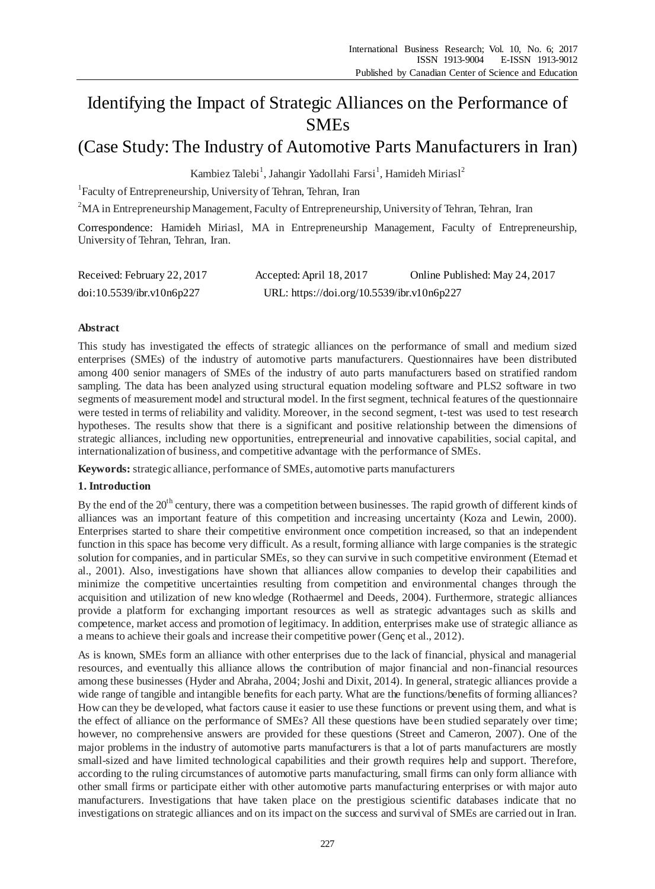# Identifying the Impact of Strategic Alliances on the Performance of SMEs

# (Case Study: The Industry of Automotive Parts Manufacturers in Iran)

Kambiez Talebi<sup>1</sup>, Jahangir Yadollahi Farsi<sup>1</sup>, Hamideh Miriasl<sup>2</sup>

1 Faculty of Entrepreneurship, University of Tehran, Tehran, Iran

<sup>2</sup>MA in Entrepreneurship Management, Faculty of Entrepreneurship, University of Tehran, Tehran, Iran

Correspondence: Hamideh Miriasl, MA in Entrepreneurship Management, Faculty of Entrepreneurship, University of Tehran, Tehran, Iran.

| Received: February 22, 2017 | Accepted: April 18, 2017                   | Online Published: May 24, 2017 |
|-----------------------------|--------------------------------------------|--------------------------------|
| doi:10.5539/ibr.v10n6p227   | URL: https://doi.org/10.5539/ibr.v10n6p227 |                                |

### **Abstract**

This study has investigated the effects of strategic alliances on the performance of small and medium sized enterprises (SMEs) of the industry of automotive parts manufacturers. Questionnaires have been distributed among 400 senior managers of SMEs of the industry of auto parts manufacturers based on stratified random sampling. The data has been analyzed using structural equation modeling software and PLS2 software in two segments of measurement model and structural model. In the first segment, technical features of the questionnaire were tested in terms of reliability and validity. Moreover, in the second segment, t-test was used to test research hypotheses. The results show that there is a significant and positive relationship between the dimensions of strategic alliances, including new opportunities, entrepreneurial and innovative capabilities, social capital, and internationalization of business, and competitive advantage with the performance of SMEs.

**Keywords:** strategic alliance, performance of SMEs, automotive parts manufacturers

### **1. Introduction**

By the end of the  $20<sup>th</sup>$  century, there was a competition between businesses. The rapid growth of different kinds of alliances was an important feature of this competition and increasing uncertainty (Koza and Lewin, 2000). Enterprises started to share their competitive environment once competition increased, so that an independent function in this space has become very difficult. As a result, forming alliance with large companies is the strategic solution for companies, and in particular SMEs, so they can survive in such competitive environment (Etemad et al., 2001). Also, investigations have shown that alliances allow companies to develop their capabilities and minimize the competitive uncertainties resulting from competition and environmental changes through the acquisition and utilization of new knowledge (Rothaermel and Deeds, 2004). Furthermore, strategic alliances provide a platform for exchanging important resources as well as strategic advantages such as skills and competence, market access and promotion of legitimacy. In addition, enterprises make use of strategic alliance as a means to achieve their goals and increase their competitive power (Gencet al., 2012).

As is known, SMEs form an alliance with other enterprises due to the lack of financial, physical and managerial resources, and eventually this alliance allows the contribution of major financial and non-financial resources among these businesses (Hyder and Abraha, 2004; Joshi and Dixit, 2014). In general, strategic alliances provide a wide range of tangible and intangible benefits for each party. What are the functions/benefits of forming alliances? How can they be developed, what factors cause it easier to use these functions or prevent using them, and what is the effect of alliance on the performance of SMEs? All these questions have been studied separately over time; however, no comprehensive answers are provided for these questions (Street and Cameron, 2007). One of the major problems in the industry of automotive parts manufacturers is that a lot of parts manufacturers are mostly small-sized and have limited technological capabilities and their growth requires help and support. Therefore, according to the ruling circumstances of automotive parts manufacturing, small firms can only form alliance with other small firms or participate either with other automotive parts manufacturing enterprises or with major auto manufacturers. Investigations that have taken place on the prestigious scientific databases indicate that no investigations on strategic alliances and on its impact on the success and survival of SMEs are carried out in Iran.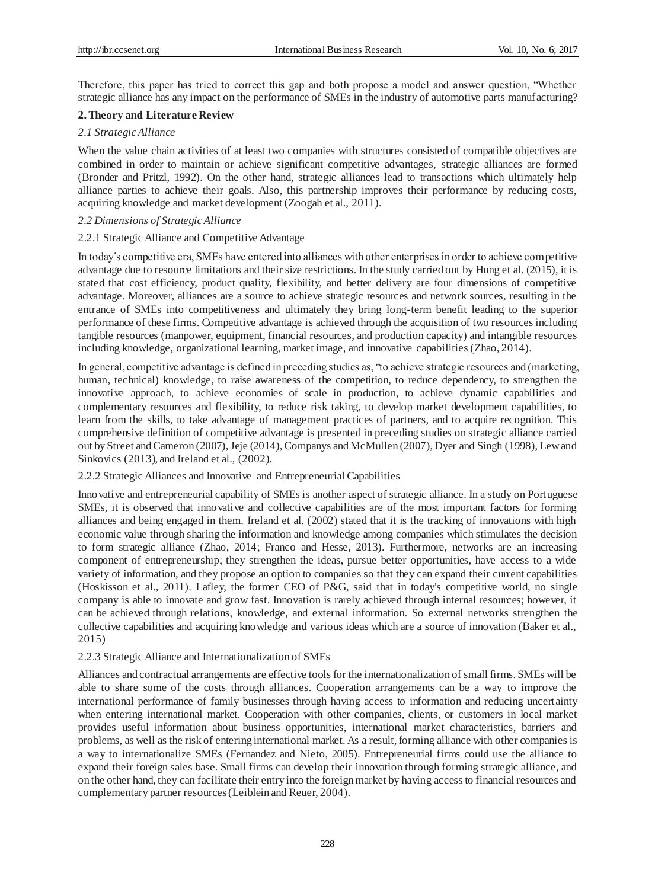Therefore, this paper has tried to correct this gap and both propose a model and answer question, "Whether strategic alliance has any impact on the performance of SMEs in the industry of automotive parts manufacturing?

## **2. Theory and Literature Review**

### *2.1 Strategic Alliance*

When the value chain activities of at least two companies with structures consisted of compatible objectives are combined in order to maintain or achieve significant competitive advantages, strategic alliances are formed (Bronder and Pritzl, 1992). On the other hand, strategic alliances lead to transactions which ultimately help alliance parties to achieve their goals. Also, this partnership improves their performance by reducing costs, acquiring knowledge and market development (Zoogah et al., 2011).

## *2.2 Dimensions of Strategic Alliance*

### 2.2.1 Strategic Alliance and Competitive Advantage

In today's competitive era, SMEs have entered into alliances with other enterprises in order to achieve competitive advantage due to resource limitations and their size restrictions. In the study carried out by Hung et al. (2015), it is stated that cost efficiency, product quality, flexibility, and better delivery are four dimensions of competitive advantage. Moreover, alliances are a source to achieve strategic resources and network sources, resulting in the entrance of SMEs into competitiveness and ultimately they bring long-term benefit leading to the superior performance of these firms. Competitive advantage is achieved through the acquisition of two resources including tangible resources (manpower, equipment, financial resources, and production capacity) and intangible resources including knowledge, organizational learning, market image, and innovative capabilities (Zhao, 2014).

In general, competitive advantage is defined in preceding studies as, "to achieve strategic resources and (marketing, human, technical) knowledge, to raise awareness of the competition, to reduce dependency, to strengthen the innovative approach, to achieve economies of scale in production, to achieve dynamic capabilities and complementary resources and flexibility, to reduce risk taking, to develop market development capabilities, to learn from the skills, to take advantage of management practices of partners, and to acquire recognition. This comprehensive definition of competitive advantage is presented in preceding studies on strategic alliance carried out by Street and Cameron (2007), Jeje (2014), Companys and McMullen (2007), Dyer and Singh (1998), Lew and Sinkovics (2013), and Ireland et al., (2002).

2.2.2 Strategic Alliances and Innovative and Entrepreneurial Capabilities

Innovative and entrepreneurial capability of SMEs is another aspect of strategic alliance. In a study on Portuguese SMEs, it is observed that innovative and collective capabilities are of the most important factors for forming alliances and being engaged in them. Ireland et al. (2002) stated that it is the tracking of innovations with high economic value through sharing the information and knowledge among companies which stimulates the decision to form strategic alliance (Zhao, 2014; Franco and Hesse, 2013). Furthermore, networks are an increasing component of entrepreneurship; they strengthen the ideas, pursue better opportunities, have access to a wide variety of information, and they propose an option to companies so that they can expand their current capabilities (Hoskisson et al., 2011). Lafley, the former CEO of P&G, said that in today's competitive world, no single company is able to innovate and grow fast. Innovation is rarely achieved through internal resources; however, it can be achieved through relations, knowledge, and external information. So external networks strengthen the collective capabilities and acquiring knowledge and various ideas which are a source of innovation (Baker et al., 2015)

### 2.2.3 Strategic Alliance and Internationalization of SMEs

Alliances and contractual arrangements are effective tools for the internationalization of small firms. SMEs will be able to share some of the costs through alliances. Cooperation arrangements can be a way to improve the international performance of family businesses through having access to information and reducing uncertainty when entering international market. Cooperation with other companies, clients, or customers in local market provides useful information about business opportunities, international market characteristics, barriers and problems, as well as the risk of entering international market. As a result, forming alliance with other companies is a way to internationalize SMEs (Fernandez and Nieto, 2005). Entrepreneurial firms could use the alliance to expand their foreign sales base. Small firms can develop their innovation through forming strategic alliance, and on the other hand, they can facilitate their entry into the foreign market by having access to financial resources and complementary partner resources (Leiblein and Reuer, 2004).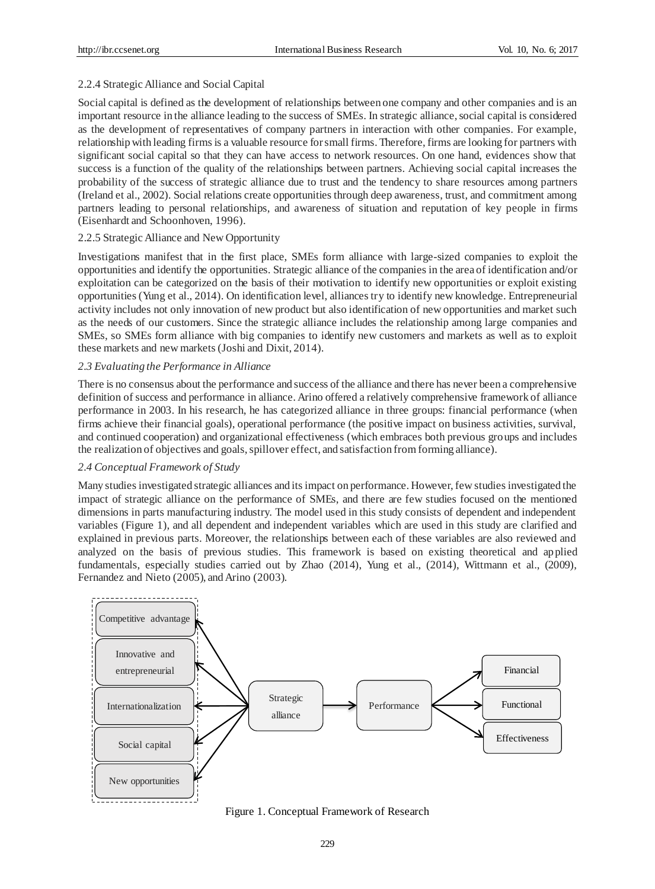#### 2.2.4 Strategic Alliance and Social Capital

Social capital is defined as the development of relationships between one company and other companies and is an important resource in the alliance leading to the success of SMEs. In strategic alliance, social capital is considered as the development of representatives of company partners in interaction with other companies. For example, relationship with leading firms is a valuable resource for small firms. Therefore, firms are looking for partners with significant social capital so that they can have access to network resources. On one hand, evidences show that success is a function of the quality of the relationships between partners. Achieving social capital increases the probability of the success of strategic alliance due to trust and the tendency to share resources among partners (Ireland et al., 2002). Social relations create opportunities through deep awareness, trust, and commitment among partners leading to personal relationships, and awareness of situation and reputation of key people in firms (Eisenhardt and Schoonhoven, 1996).

#### 2.2.5 Strategic Alliance and New Opportunity

Investigations manifest that in the first place, SMEs form alliance with large-sized companies to exploit the opportunities and identify the opportunities. Strategic alliance of the companies in the area of identification and/or exploitation can be categorized on the basis of their motivation to identify new opportunities or exploit existing opportunities (Yung et al., 2014). On identification level, alliances try to identify new knowledge. Entrepreneurial activity includes not only innovation of new product but also identification of new opportunities and market such as the needs of our customers. Since the strategic alliance includes the relationship among large companies and SMEs, so SMEs form alliance with big companies to identify new customers and markets as well as to exploit these markets and new markets (Joshi and Dixit, 2014).

#### *2.3 Evaluating the Performance in Alliance*

There is no consensus about the performance and success of the alliance and there has never been a comprehensive definition of success and performance in alliance. Arino offered a relatively comprehensive framework of alliance performance in 2003. In his research, he has categorized alliance in three groups: financial performance (when firms achieve their financial goals), operational performance (the positive impact on business activities, survival, and continued cooperation) and organizational effectiveness (which embraces both previous groups and includes the realization of objectives and goals, spillover effect, and satisfaction from forming alliance).

#### *2.4 Conceptual Framework of Study*

Many studies investigated strategic alliances and its impact on performance. However, few studies investigated the impact of strategic alliance on the performance of SMEs, and there are few studies focused on the mentioned dimensions in parts manufacturing industry. The model used in this study consists of dependent and independent variables (Figure 1), and all dependent and independent variables which are used in this study are clarified and explained in previous parts. Moreover, the relationships between each of these variables are also reviewed and analyzed on the basis of previous studies. This framework is based on existing theoretical and applied fundamentals, especially studies carried out by Zhao (2014), Yung et al., (2014), Wittmann et al., (2009), Fernandez and Nieto (2005), and Arino (2003).



Figure 1. Conceptual Framework of Research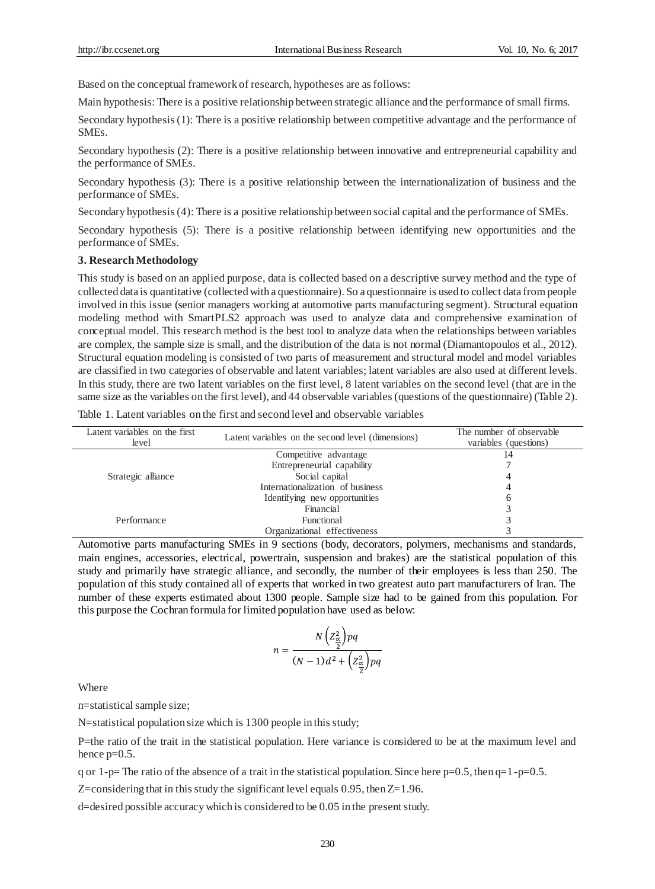Based on the conceptual framework of research, hypotheses are as follows:

Main hypothesis: There is a positive relationship between strategic alliance and the performance of small firms.

Secondary hypothesis (1): There is a positive relationship between competitive advantage and the performance of SMEs.

Secondary hypothesis (2): There is a positive relationship between innovative and entrepreneurial capability and the performance of SMEs.

Secondary hypothesis (3): There is a positive relationship between the internationalization of business and the performance of SMEs.

Secondary hypothesis (4): There is a positive relationship between social capital and the performance of SMEs.

Secondary hypothesis (5): There is a positive relationship between identifying new opportunities and the performance of SMEs.

#### **3. Research Methodology**

This study is based on an applied purpose, data is collected based on a descriptive survey method and the type of collected data is quantitative (collected with a questionnaire). So a questionnaire is used to collect data from people involved in this issue (senior managers working at automotive parts manufacturing segment). Structural equation modeling method with SmartPLS2 approach was used to analyze data and comprehensive examination of conceptual model. This research method is the best tool to analyze data when the relationships between variables are complex, the sample size is small, and the distribution of the data is not normal (Diamantopoulos et al., 2012). Structural equation modeling is consisted of two parts of measurement and structural model and model variables are classified in two categories of observable and latent variables; latent variables are also used at different levels. In this study, there are two latent variables on the first level, 8 latent variables on the second level (that are in the same size as the variables on the first level), and 44 observable variables (questions of the questionnaire) (Table 2).

Table 1. Latent variables on the first and second level and observable variables

| Latent variables on the first<br>level | Latent variables on the second level (dimensions) | The number of observable<br>variables (questions) |
|----------------------------------------|---------------------------------------------------|---------------------------------------------------|
|                                        | Competitive advantage                             | 14                                                |
|                                        | Entrepreneurial capability                        |                                                   |
| Strategic alliance                     | Social capital                                    |                                                   |
|                                        | Internationalization of business                  |                                                   |
|                                        | Identifying new opportunities                     | 6                                                 |
|                                        | Financial                                         |                                                   |
| Performance                            | Functional                                        |                                                   |
|                                        | Organizational effectiveness                      |                                                   |

Automotive parts manufacturing SMEs in 9 sections (body, decorators, polymers, mechanisms and standards, main engines, accessories, electrical, powertrain, suspension and brakes) are the statistical population of this study and primarily have strategic alliance, and secondly, the number of their employees is less than 250. The population of this study contained all of experts that worked in two greatest auto part manufacturers of Iran. The number of these experts estimated about 1300 people. Sample size had to be gained from this population. For this purpose the Cochran formula for limited population have used as below:

$$
n = \frac{N\left(Z_{\frac{\alpha}{2}}^2\right)pq}{(N-1)d^2 + \left(Z_{\frac{\alpha}{2}}^2\right)pq}
$$

Where

n=statistical sample size;

N=statistical population size which is 1300 people in this study;

P=the ratio of the trait in the statistical population. Here variance is considered to be at the maximum level and hence  $p=0.5$ .

q or 1-p= The ratio of the absence of a trait in the statistical population. Since here p=0.5, then  $q=1$ -p=0.5.

Z=considering that in this study the significant level equals 0.95, then Z=1.96.

d=desired possible accuracy which is considered to be 0.05 in the present study.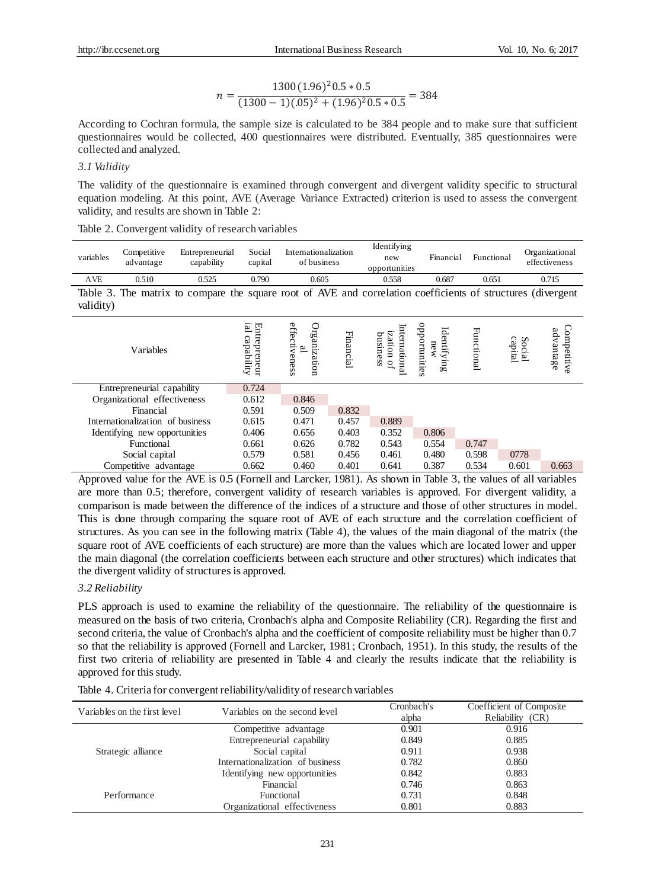$$
n = \frac{1300(1.96)^{2}0.5 * 0.5}{(1300 - 1)(.05)^{2} + (1.96)^{2}0.5 * 0.5} = 384
$$

According to Cochran formula, the sample size is calculated to be 384 people and to make sure that sufficient questionnaires would be collected, 400 questionnaires were distributed. Eventually, 385 questionnaires were collected and analyzed.

#### *3.1 Validity*

The validity of the questionnaire is examined through convergent and divergent validity specific to structural equation modeling. At this point, AVE (Average Variance Extracted) criterion is used to assess the convergent validity, and results are shown in Table 2:

|  | Table 2. Convergent validity of research variables |  |  |  |
|--|----------------------------------------------------|--|--|--|
|--|----------------------------------------------------|--|--|--|

| variables  | Competitive<br>advantage         | Entrepreneurial<br>capability                                                                               | Social<br>capital              |                                    | Internationalization<br>of business | Identifying<br>new<br>opportunities    | Financial                                          |            | Functional        | Organizational<br>effectiveness |
|------------|----------------------------------|-------------------------------------------------------------------------------------------------------------|--------------------------------|------------------------------------|-------------------------------------|----------------------------------------|----------------------------------------------------|------------|-------------------|---------------------------------|
| <b>AVE</b> | 0.510                            | 0.525                                                                                                       | 0.790                          |                                    | 0.605                               | 0.558                                  | 0.687                                              |            | 0.651             | 0.715                           |
| validity)  |                                  | Table 3. The matrix to compare the square root of AVE and correlation coefficients of structures (divergent |                                |                                    |                                     |                                        |                                                    |            |                   |                                 |
|            | Variables                        |                                                                                                             | ial capability<br>Entrepreneur | effectiveness<br>Organization<br>≌ | Financial                           | Internationa<br>ization of<br>business | opportunities<br>Identify<br>new<br>$\mathbb{u}_8$ | Functional | capital<br>Social | Competitive<br>advantage        |
|            | Entrepreneurial capability       |                                                                                                             | 0.724                          |                                    |                                     |                                        |                                                    |            |                   |                                 |
|            | Organizational effectiveness     |                                                                                                             | 0.612                          | 0.846                              |                                     |                                        |                                                    |            |                   |                                 |
|            | Financial                        |                                                                                                             | 0.591                          | 0.509                              | 0.832                               |                                        |                                                    |            |                   |                                 |
|            | Internationalization of business |                                                                                                             | 0.615                          | 0.471                              | 0.457                               | 0.889                                  |                                                    |            |                   |                                 |
|            | Identifying new opportunities    |                                                                                                             | 0.406                          | 0.656                              | 0.403                               | 0.352                                  | 0.806                                              |            |                   |                                 |
|            | Functional                       |                                                                                                             | 0.661                          | 0.626                              | 0.782                               | 0.543                                  | 0.554                                              | 0.747      |                   |                                 |
|            | Social capital                   |                                                                                                             | 0.579                          | 0.581                              | 0.456                               | 0.461                                  | 0.480                                              | 0.598      | 0778              |                                 |
|            | Competitive advantage            |                                                                                                             | 0.662                          | 0.460                              | 0.401                               | 0.641                                  | 0.387                                              | 0.534      | 0.601             | 0.663                           |

Approved value for the AVE is 0.5 (Fornell and Larcker, 1981). As shown in Table 3, the values of all variables are more than 0.5; therefore, convergent validity of research variables is approved. For divergent validity, a comparison is made between the difference of the indices of a structure and those of other structures in model. This is done through comparing the square root of AVE of each structure and the correlation coefficient of structures. As you can see in the following matrix (Table 4), the values of the main diagonal of the matrix (the square root of AVE coefficients of each structure) are more than the values which are located lower and upper the main diagonal (the correlation coefficients between each structure and other structures) which indicates that the divergent validity of structures is approved.

#### *3.2 Reliability*

PLS approach is used to examine the reliability of the questionnaire. The reliability of the questionnaire is measured on the basis of two criteria, Cronbach's alpha and Composite Reliability (CR). Regarding the first and second criteria, the value of Cronbach's alpha and the coefficient of composite reliability must be higher than 0.7 so that the reliability is approved (Fornell and Larcker, 1981; Cronbach, 1951). In this study, the results of the first two criteria of reliability are presented in Table 4 and clearly the results indicate that the reliability is approved for this study.

|  | Table 4. Criteria for convergent reliability/validity of research variables |  |  |
|--|-----------------------------------------------------------------------------|--|--|
|  |                                                                             |  |  |

| Variables on the first level | Variables on the second level    | Cronbach's<br>alpha | Coefficient of Composite<br>Reliability<br>(CR) |
|------------------------------|----------------------------------|---------------------|-------------------------------------------------|
|                              | Competitive advantage            | 0.901               | 0.916                                           |
|                              | Entrepreneurial capability       | 0.849               | 0.885                                           |
| Strategic alliance           | Social capital                   | 0.911               | 0.938                                           |
|                              | Internationalization of business | 0.782               | 0.860                                           |
|                              | Identifying new opportunities    | 0.842               | 0.883                                           |
|                              | Financial                        | 0.746               | 0.863                                           |
| Performance                  | Functional                       | 0.731               | 0.848                                           |
|                              | Organizational effectiveness     | 0.801               | 0.883                                           |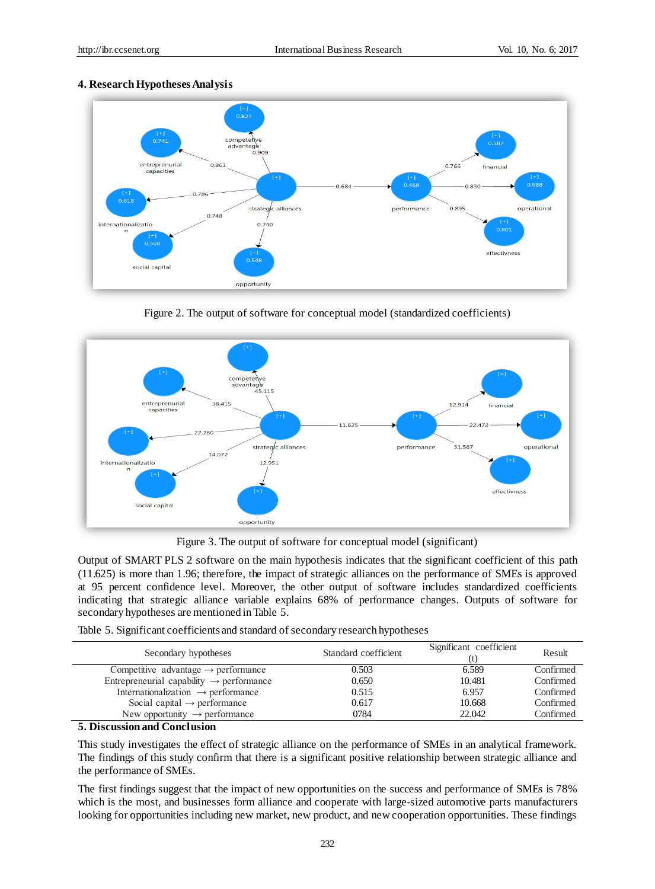#### **4. Research Hypotheses Analysis**



Figure 2. The output of software for conceptual model (standardized coefficients)



Figure 3. The output of software for conceptual model (significant)

Output of SMART PLS 2 software on the main hypothesis indicates that the significant coefficient of this path (11.625) is more than 1.96; therefore, the impact of strategic alliances on the performance of SMEs is approved at 95 percent confidence level. Moreover, the other output of software includes standardized coefficients indicating that strategic alliance variable explains 68% of performance changes. Outputs of software for secondary hypotheses are mentioned in Table 5.

|  | Table 5. Significant coefficients and standard of secondary research hypotheses |  |  |  |
|--|---------------------------------------------------------------------------------|--|--|--|
|  |                                                                                 |  |  |  |

| Secondary hypotheses                                 | Standard coefficient | Significant coefficient | Result    |
|------------------------------------------------------|----------------------|-------------------------|-----------|
| Competitive advantage $\rightarrow$ performance      | 0.503                | 6.589                   | Confirmed |
| Entrepreneurial capability $\rightarrow$ performance | 0.650                | 10.481                  | Confirmed |
| Internationalization $\rightarrow$ performance       | 0.515                | 6.957                   | Confirmed |
| Social capital $\rightarrow$ performance             | 0.617                | 10.668                  | Confirmed |
| New opportunity $\rightarrow$ performance            | 0784                 | 22.042                  | Confirmed |

#### **5. Discussion and Conclusion**

This study investigates the effect of strategic alliance on the performance of SMEs in an analytical framework. The findings of this study confirm that there is a significant positive relationship between strategic alliance and the performance of SMEs.

The first findings suggest that the impact of new opportunities on the success and performance of SMEs is 78% which is the most, and businesses form alliance and cooperate with large-sized automotive parts manufacturers looking for opportunities including new market, new product, and new cooperation opportunities. These findings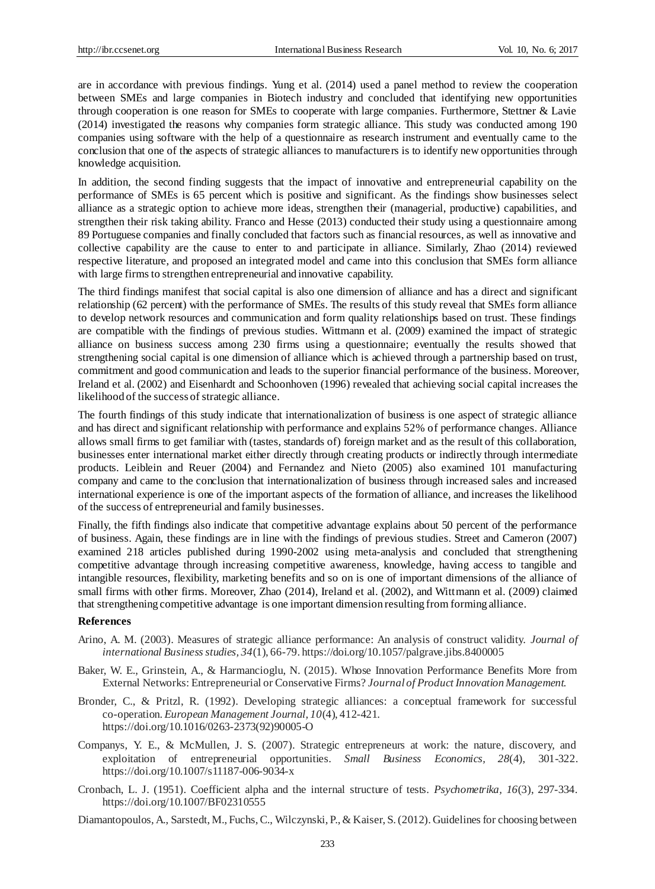are in accordance with previous findings. Yung et al. (2014) used a panel method to review the cooperation between SMEs and large companies in Biotech industry and concluded that identifying new opportunities through cooperation is one reason for SMEs to cooperate with large companies. Furthermore, Stettner & Lavie (2014) investigated the reasons why companies form strategic alliance. This study was conducted among 190 companies using software with the help of a questionnaire as research instrument and eventually came to the conclusion that one of the aspects of strategic alliances to manufacturers is to identify new opportunities through knowledge acquisition.

In addition, the second finding suggests that the impact of innovative and entrepreneurial capability on the performance of SMEs is 65 percent which is positive and significant. As the findings show businesses select alliance as a strategic option to achieve more ideas, strengthen their (managerial, productive) capabilities, and strengthen their risk taking ability. Franco and Hesse (2013) conducted their study using a questionnaire among 89 Portuguese companies and finally concluded that factors such as financial resources, as well as innovative and collective capability are the cause to enter to and participate in alliance. Similarly, Zhao (2014) reviewed respective literature, and proposed an integrated model and came into this conclusion that SMEs form alliance with large firms to strengthen entrepreneurial and innovative capability.

The third findings manifest that social capital is also one dimension of alliance and has a direct and significant relationship (62 percent) with the performance of SMEs. The results of this study reveal that SMEs form alliance to develop network resources and communication and form quality relationships based on trust. These findings are compatible with the findings of previous studies. Wittmann et al. (2009) examined the impact of strategic alliance on business success among 230 firms using a questionnaire; eventually the results showed that strengthening social capital is one dimension of alliance which is achieved through a partnership based on trust, commitment and good communication and leads to the superior financial performance of the business. Moreover, Ireland et al. (2002) and Eisenhardt and Schoonhoven (1996) revealed that achieving social capital increases the likelihood of the success of strategic alliance.

The fourth findings of this study indicate that internationalization of business is one aspect of strategic alliance and has direct and significant relationship with performance and explains 52% of performance changes. Alliance allows small firms to get familiar with (tastes, standards of) foreign market and as the result of this collaboration, businesses enter international market either directly through creating products or indirectly through intermediate products. Leiblein and Reuer (2004) and Fernandez and Nieto (2005) also examined 101 manufacturing company and came to the conclusion that internationalization of business through increased sales and increased international experience is one of the important aspects of the formation of alliance, and increases the likelihood of the success of entrepreneurial and family businesses.

Finally, the fifth findings also indicate that competitive advantage explains about 50 percent of the performance of business. Again, these findings are in line with the findings of previous studies. Street and Cameron (2007) examined 218 articles published during 1990-2002 using meta-analysis and concluded that strengthening competitive advantage through increasing competitive awareness, knowledge, having access to tangible and intangible resources, flexibility, marketing benefits and so on is one of important dimensions of the alliance of small firms with other firms. Moreover, Zhao (2014), Ireland et al. (2002), and Wittmann et al. (2009) claimed that strengthening competitive advantage is one important dimension resulting from forming alliance.

#### **References**

- Arino, A. M. (2003). Measures of strategic alliance performance: An analysis of construct validity. *Journal of international Business studies, 34*(1), 66-79. https://doi.org/10.1057/palgrave.jibs.8400005
- Baker, W. E., Grinstein, A., & Harmancioglu, N. (2015). Whose Innovation Performance Benefits More from External Networks: Entrepreneurial or Conservative Firms? *Journal of Product Innovation Management.*
- Bronder, C., & Pritzl, R. (1992). Developing strategic alliances: a conceptual framework for successful co-operation. *European Management Journal, 10*(4), 412-421. https://doi.org/10.1016/0263-2373(92)90005-O
- Companys, Y. E., & McMullen, J. S. (2007). Strategic entrepreneurs at work: the nature, discovery, and exploitation of entrepreneurial opportunities. *Small Business Economics, 28*(4), 301-322. https://doi.org/10.1007/s11187-006-9034-x
- Cronbach, L. J. (1951). Coefficient alpha and the internal structure of tests. *Psychometrika, 16*(3), 297-334. https://doi.org/10.1007/BF02310555

Diamantopoulos, A., Sarstedt, M., Fuchs, C., Wilczynski, P., & Kaiser, S. (2012). Guidelines for choosing between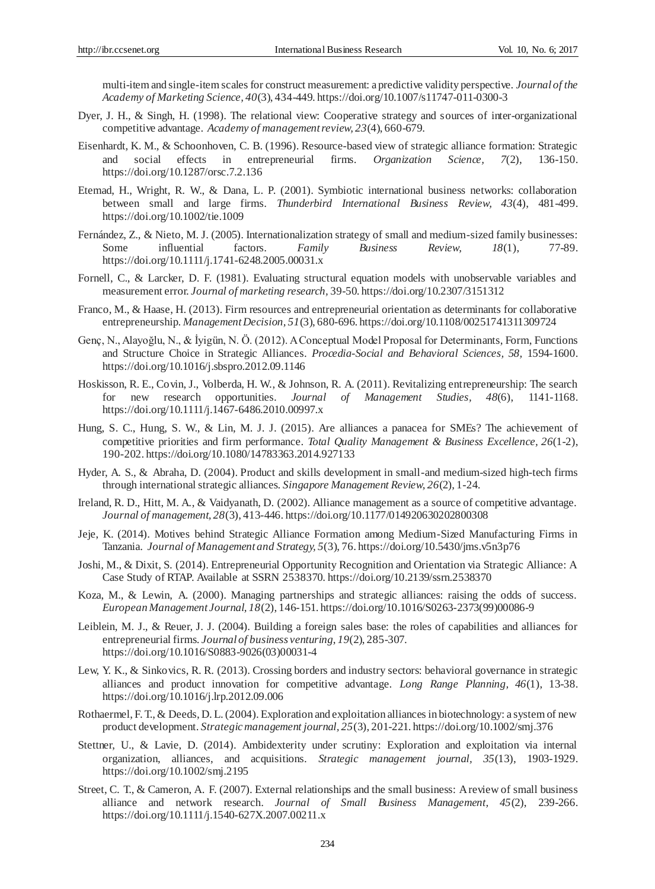multi-item and single-item scales for construct measurement: a predictive validity perspective. *Journal of the Academy of Marketing Science, 40*(3), 434-449. https://doi.org/10.1007/s11747-011-0300-3

- Dyer, J. H., & Singh, H. (1998). The relational view: Cooperative strategy and sources of inter-organizational competitive advantage. *Academy of management review, 23*(4), 660-679.
- Eisenhardt, K. M., & Schoonhoven, C. B. (1996). Resource-based view of strategic alliance formation: Strategic social effects in entrepreneurial firms. *Organization Science*, 7(2), 136-150. https://doi.org/10.1287/orsc.7.2.136
- Etemad, H., Wright, R. W., & Dana, L. P. (2001). Symbiotic international business networks: collaboration between small and large firms. *Thunderbird International Business Review, 43*(4), 481-499. https://doi.org/10.1002/tie.1009
- Fernández, Z., & Nieto, M. J. (2005). Internationalization strategy of small and medium-sized family businesses: Some influential factors. *Family Business Review, 18*(1), 77-89. https://doi.org/10.1111/j.1741-6248.2005.00031.x
- Fornell, C., & Larcker, D. F. (1981). Evaluating structural equation models with unobservable variables and measurement error. *Journal of marketing research,* 39-50. https://doi.org/10.2307/3151312
- Franco, M., & Haase, H. (2013). Firm resources and entrepreneurial orientation as determinants for collaborative entrepreneurship. *Management Decision, 51*(3), 680-696. https://doi.org/10.1108/00251741311309724
- Genç, N., Alayoğlu, N., & İyigün, N. Ö. (2012). A Conceptual Model Proposal for Determinants, Form, Functions and Structure Choice in Strategic Alliances. *Procedia-Social and Behavioral Sciences, 58,* 1594-1600. https://doi.org/10.1016/j.sbspro.2012.09.1146
- Hoskisson, R. E., Covin, J., Volberda, H. W., & Johnson, R. A. (2011). Revitalizing entrepreneurship: The search for new research opportunities. *Journal of Management Studies, 48*(6), 1141-1168. https://doi.org/10.1111/j.1467-6486.2010.00997.x
- Hung, S. C., Hung, S. W., & Lin, M. J. J. (2015). Are alliances a panacea for SMEs? The achievement of competitive priorities and firm performance. *Total Quality Management & Business Excellence, 26*(1-2), 190-202. https://doi.org/10.1080/14783363.2014.927133
- Hyder, A. S., & Abraha, D. (2004). Product and skills development in small-and medium-sized high-tech firms through international strategic alliances. *Singapore Management Review, 26*(2), 1-24.
- Ireland, R. D., Hitt, M. A., & Vaidyanath, D. (2002). Alliance management as a source of competitive advantage. *Journal of management, 28*(3), 413-446. https://doi.org/10.1177/014920630202800308
- Jeje, K. (2014). Motives behind Strategic Alliance Formation among Medium-Sized Manufacturing Firms in Tanzania. *Journal of Management and Strategy, 5*(3), 76. https://doi.org/10.5430/jms.v5n3p76
- Joshi, M., & Dixit, S. (2014). Entrepreneurial Opportunity Recognition and Orientation via Strategic Alliance: A Case Study of RTAP. Available at SSRN 2538370. https://doi.org/10.2139/ssrn.2538370
- Koza, M., & Lewin, A. (2000). Managing partnerships and strategic alliances: raising the odds of success. *European Management Journal, 18*(2), 146-151. https://doi.org/10.1016/S0263-2373(99)00086-9
- Leiblein, M. J., & Reuer, J. J. (2004). Building a foreign sales base: the roles of capabilities and alliances for entrepreneurial firms. *Journal of business venturing*, *19*(2), 285-307. https://doi.org/10.1016/S0883-9026(03)00031-4
- Lew, Y. K., & Sinkovics, R. R. (2013). Crossing borders and industry sectors: behavioral governance in strategic alliances and product innovation for competitive advantage. *Long Range Planning, 46*(1), 13-38. https://doi.org/10.1016/j.lrp.2012.09.006
- Rothaermel, F. T., & Deeds, D. L. (2004). Exploration and exploitation alliances in biotechnology: a system of new product development. *Strategic management journal, 25*(3), 201-221. https://doi.org/10.1002/smj.376
- Stettner, U., & Lavie, D. (2014). Ambidexterity under scrutiny: Exploration and exploitation via internal organization, alliances, and acquisitions. *Strategic management journal, 35*(13), 1903-1929. https://doi.org/10.1002/smj.2195
- Street, C. T., & Cameron, A. F. (2007). External relationships and the small business: A review of small business alliance and network research. *Journal of Small Business Management, 45*(2), 239-266. https://doi.org/10.1111/j.1540-627X.2007.00211.x